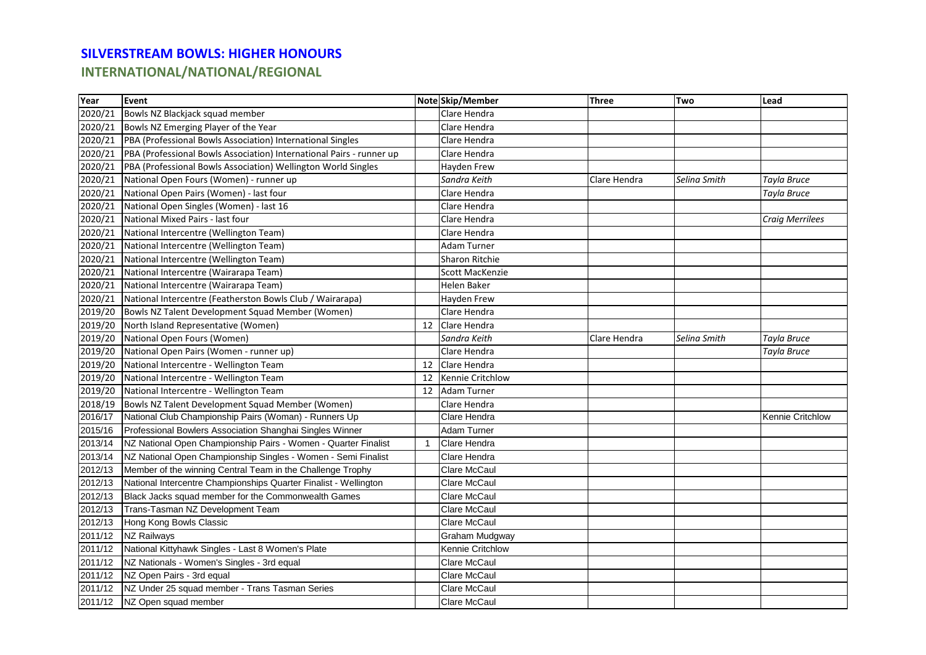## **SILVERSTREAM BOWLS: HIGHER HONOURS**

**INTERNATIONAL/NATIONAL/REGIONAL**

| Year    | Event                                                                |    | Note Skip/Member      | <b>Three</b> | Two          | Lead                   |
|---------|----------------------------------------------------------------------|----|-----------------------|--------------|--------------|------------------------|
| 2020/21 | Bowls NZ Blackjack squad member                                      |    | Clare Hendra          |              |              |                        |
|         | 2020/21 Bowls NZ Emerging Player of the Year                         |    | Clare Hendra          |              |              |                        |
| 2020/21 | PBA (Professional Bowls Association) International Singles           |    | Clare Hendra          |              |              |                        |
| 2020/21 | PBA (Professional Bowls Association) International Pairs - runner up |    | Clare Hendra          |              |              |                        |
| 2020/21 | PBA (Professional Bowls Association) Wellington World Singles        |    | Hayden Frew           |              |              |                        |
| 2020/21 | National Open Fours (Women) - runner up                              |    | Sandra Keith          | Clare Hendra | Selina Smith | Tayla Bruce            |
| 2020/21 | National Open Pairs (Women) - last four                              |    | Clare Hendra          |              |              | Tayla Bruce            |
| 2020/21 | National Open Singles (Women) - last 16                              |    | Clare Hendra          |              |              |                        |
| 2020/21 | National Mixed Pairs - last four                                     |    | Clare Hendra          |              |              | <b>Craig Merrilees</b> |
| 2020/21 | National Intercentre (Wellington Team)                               |    | Clare Hendra          |              |              |                        |
| 2020/21 | National Intercentre (Wellington Team)                               |    | <b>Adam Turner</b>    |              |              |                        |
|         | 2020/21 National Intercentre (Wellington Team)                       |    | <b>Sharon Ritchie</b> |              |              |                        |
|         | 2020/21 National Intercentre (Wairarapa Team)                        |    | Scott MacKenzie       |              |              |                        |
| 2020/21 | National Intercentre (Wairarapa Team)                                |    | Helen Baker           |              |              |                        |
| 2020/21 | National Intercentre (Featherston Bowls Club / Wairarapa)            |    | Hayden Frew           |              |              |                        |
| 2019/20 | Bowls NZ Talent Development Squad Member (Women)                     |    | Clare Hendra          |              |              |                        |
| 2019/20 | North Island Representative (Women)                                  | 12 | Clare Hendra          |              |              |                        |
| 2019/20 | National Open Fours (Women)                                          |    | Sandra Keith          | Clare Hendra | Selina Smith | Tayla Bruce            |
| 2019/20 | National Open Pairs (Women - runner up)                              |    | Clare Hendra          |              |              | Tayla Bruce            |
| 2019/20 | National Intercentre - Wellington Team                               | 12 | Clare Hendra          |              |              |                        |
| 2019/20 | National Intercentre - Wellington Team                               | 12 | Kennie Critchlow      |              |              |                        |
| 2019/20 | National Intercentre - Wellington Team                               | 12 | <b>Adam Turner</b>    |              |              |                        |
| 2018/19 | Bowls NZ Talent Development Squad Member (Women)                     |    | Clare Hendra          |              |              |                        |
| 2016/17 | National Club Championship Pairs (Woman) - Runners Up                |    | Clare Hendra          |              |              | Kennie Critchlow       |
| 2015/16 | Professional Bowlers Association Shanghai Singles Winner             |    | Adam Turner           |              |              |                        |
| 2013/14 | NZ National Open Championship Pairs - Women - Quarter Finalist       | -1 | Clare Hendra          |              |              |                        |
| 2013/14 | NZ National Open Championship Singles - Women - Semi Finalist        |    | Clare Hendra          |              |              |                        |
| 2012/13 | Member of the winning Central Team in the Challenge Trophy           |    | <b>Clare McCaul</b>   |              |              |                        |
| 2012/13 | National Intercentre Championships Quarter Finalist - Wellington     |    | Clare McCaul          |              |              |                        |
| 2012/13 | Black Jacks squad member for the Commonwealth Games                  |    | Clare McCaul          |              |              |                        |
| 2012/13 | Trans-Tasman NZ Development Team                                     |    | Clare McCaul          |              |              |                        |
| 2012/13 | Hong Kong Bowls Classic                                              |    | Clare McCaul          |              |              |                        |
| 2011/12 | <b>NZ Railways</b>                                                   |    | Graham Mudgway        |              |              |                        |
| 2011/12 | National Kittyhawk Singles - Last 8 Women's Plate                    |    | Kennie Critchlow      |              |              |                        |
| 2011/12 | NZ Nationals - Women's Singles - 3rd equal                           |    | <b>Clare McCaul</b>   |              |              |                        |
| 2011/12 | NZ Open Pairs - 3rd equal                                            |    | <b>Clare McCaul</b>   |              |              |                        |
| 2011/12 | NZ Under 25 squad member - Trans Tasman Series                       |    | <b>Clare McCaul</b>   |              |              |                        |
| 2011/12 | NZ Open squad member                                                 |    | <b>Clare McCaul</b>   |              |              |                        |